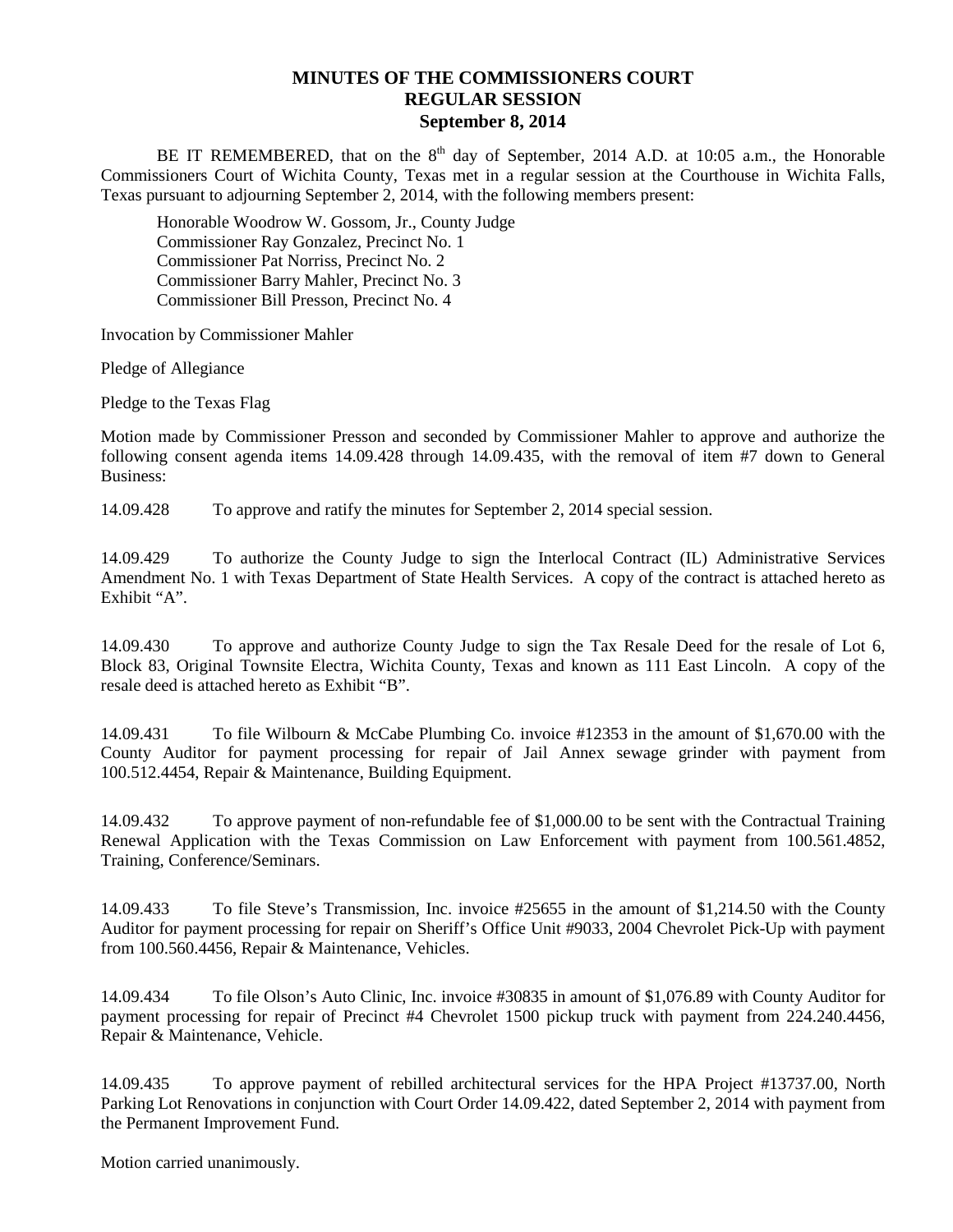## **MINUTES OF THE COMMISSIONERS COURT REGULAR SESSION September 8, 2014**

BE IT REMEMBERED, that on the  $8<sup>th</sup>$  day of September, 2014 A.D. at 10:05 a.m., the Honorable Commissioners Court of Wichita County, Texas met in a regular session at the Courthouse in Wichita Falls, Texas pursuant to adjourning September 2, 2014, with the following members present:

Honorable Woodrow W. Gossom, Jr., County Judge Commissioner Ray Gonzalez, Precinct No. 1 Commissioner Pat Norriss, Precinct No. 2 Commissioner Barry Mahler, Precinct No. 3 Commissioner Bill Presson, Precinct No. 4

Invocation by Commissioner Mahler

Pledge of Allegiance

Pledge to the Texas Flag

Motion made by Commissioner Presson and seconded by Commissioner Mahler to approve and authorize the following consent agenda items 14.09.428 through 14.09.435, with the removal of item #7 down to General Business:

14.09.428 To approve and ratify the minutes for September 2, 2014 special session.

14.09.429 To authorize the County Judge to sign the Interlocal Contract (IL) Administrative Services Amendment No. 1 with Texas Department of State Health Services. A copy of the contract is attached hereto as Exhibit "A".

14.09.430 To approve and authorize County Judge to sign the Tax Resale Deed for the resale of Lot 6, Block 83, Original Townsite Electra, Wichita County, Texas and known as 111 East Lincoln. A copy of the resale deed is attached hereto as Exhibit "B".

14.09.431 To file Wilbourn & McCabe Plumbing Co. invoice #12353 in the amount of \$1,670.00 with the County Auditor for payment processing for repair of Jail Annex sewage grinder with payment from 100.512.4454, Repair & Maintenance, Building Equipment.

14.09.432 To approve payment of non-refundable fee of \$1,000.00 to be sent with the Contractual Training Renewal Application with the Texas Commission on Law Enforcement with payment from 100.561.4852, Training, Conference/Seminars.

14.09.433 To file Steve's Transmission, Inc. invoice #25655 in the amount of \$1,214.50 with the County Auditor for payment processing for repair on Sheriff's Office Unit #9033, 2004 Chevrolet Pick-Up with payment from 100.560.4456, Repair & Maintenance, Vehicles.

14.09.434 To file Olson's Auto Clinic, Inc. invoice #30835 in amount of \$1,076.89 with County Auditor for payment processing for repair of Precinct #4 Chevrolet 1500 pickup truck with payment from 224.240.4456, Repair & Maintenance, Vehicle.

14.09.435 To approve payment of rebilled architectural services for the HPA Project #13737.00, North Parking Lot Renovations in conjunction with Court Order 14.09.422, dated September 2, 2014 with payment from the Permanent Improvement Fund.

Motion carried unanimously.